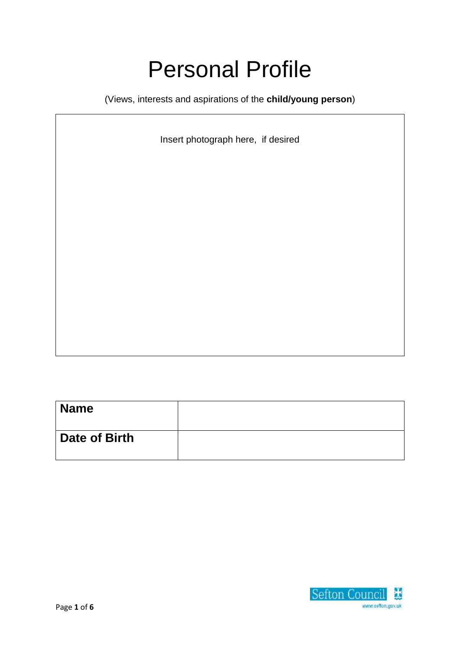# Personal Profile

(Views, interests and aspirations of the **child/young person**)

Insert photograph here, if desired

| <b>Name</b>   |  |
|---------------|--|
| Date of Birth |  |

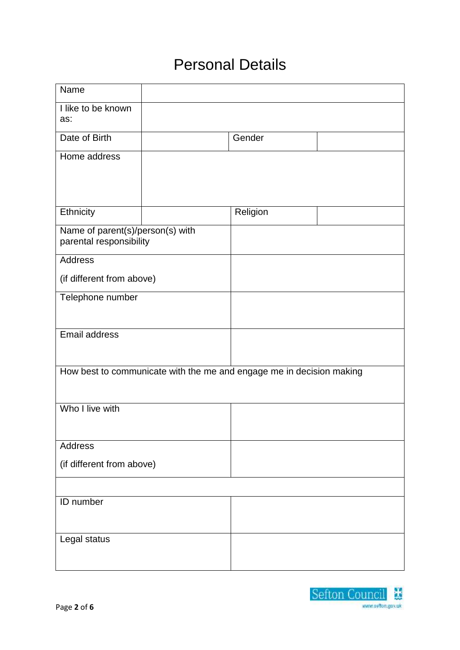# Personal Details

| Name                                                                 |  |          |  |  |
|----------------------------------------------------------------------|--|----------|--|--|
| I like to be known<br>as:                                            |  |          |  |  |
| Date of Birth                                                        |  | Gender   |  |  |
| Home address                                                         |  |          |  |  |
| Ethnicity                                                            |  | Religion |  |  |
| Name of parent(s)/person(s) with<br>parental responsibility          |  |          |  |  |
| <b>Address</b>                                                       |  |          |  |  |
| (if different from above)                                            |  |          |  |  |
| Telephone number                                                     |  |          |  |  |
| <b>Email address</b>                                                 |  |          |  |  |
| How best to communicate with the me and engage me in decision making |  |          |  |  |
| Who I live with                                                      |  |          |  |  |
| Address                                                              |  |          |  |  |
| (if different from above)                                            |  |          |  |  |
|                                                                      |  |          |  |  |
| ID number                                                            |  |          |  |  |
| Legal status                                                         |  |          |  |  |

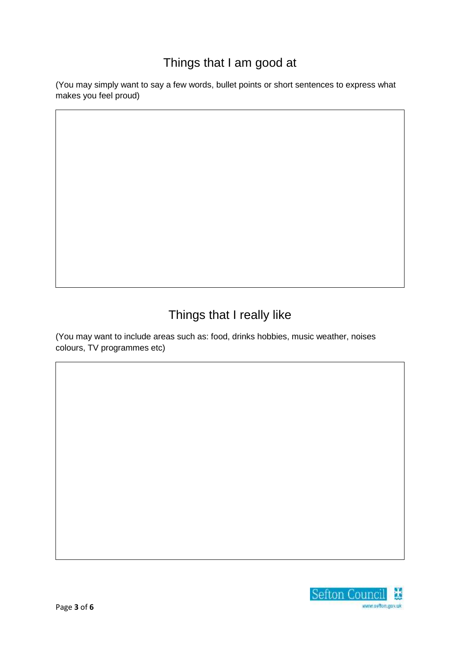#### Things that I am good at

(You may simply want to say a few words, bullet points or short sentences to express what makes you feel proud)

# Things that I really like

(You may want to include areas such as: food, drinks hobbies, music weather, noises colours, TV programmes etc)

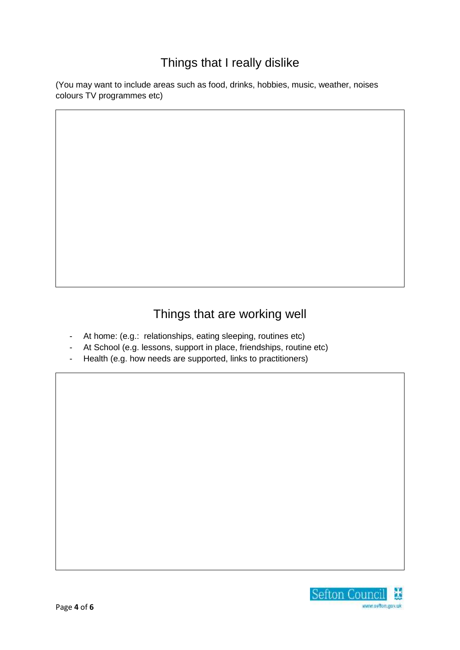#### Things that I really dislike

(You may want to include areas such as food, drinks, hobbies, music, weather, noises colours TV programmes etc)

### Things that are working well

- At home: (e.g.: relationships, eating sleeping, routines etc)
- At School (e.g. lessons, support in place, friendships, routine etc)
- Health (e.g. how needs are supported, links to practitioners)

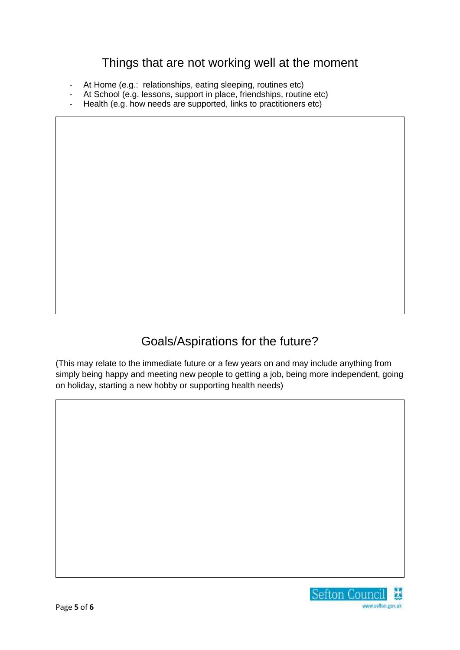#### Things that are not working well at the moment

- At Home (e.g.: relationships, eating sleeping, routines etc)
- At School (e.g. lessons, support in place, friendships, routine etc)
- Health (e.g. how needs are supported, links to practitioners etc)

#### Goals/Aspirations for the future?

(This may relate to the immediate future or a few years on and may include anything from simply being happy and meeting new people to getting a job, being more independent, going on holiday, starting a new hobby or supporting health needs)